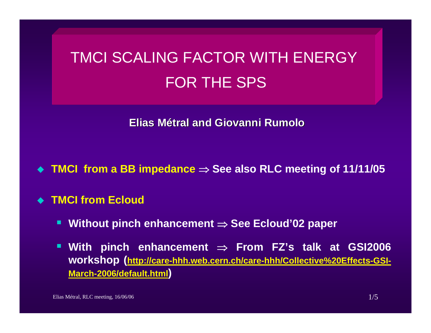# TMCI SCALING FACTOR WITH ENERGYFOR THE SPS

**Elias Métral and Giovanni and Giovanni Rumolo**

**TMCI from a BB impedance** <sup>⇒</sup> **See also RLC meeting of 11/11/05**

**TMCI from Ecloud**

- Ŧ **Without pinch enhancement** <sup>⇒</sup> **See Ecloud'02 paper**
- **With pinch enhancement** <sup>⇒</sup> **From FZ's talk at GSI2006 [workshop \(http://care-hhh.web.cern.ch/care-hhh/Collective%20Effects-GSI-](http://care-hhh.web.cern.ch/care-hhh/Collective Effects-GSI-March-2006/default.html)[March-2006/default.html\)](http://care-hhh.web.cern.ch/care-hhh/Collective Effects-GSI-March-2006/default.html)**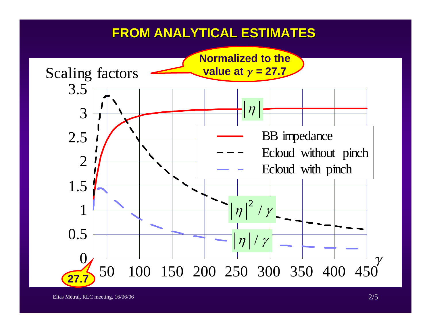### **FROM ANALYTICAL ESTIMATES FROM ANALYTICAL ESTIMATES**

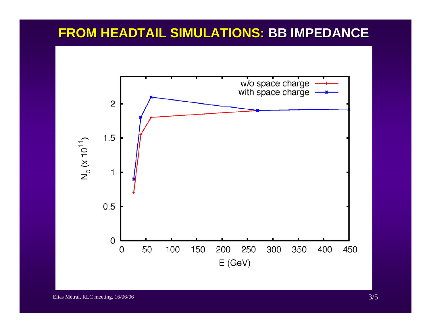#### **FROM HEADTAIL SIMULATIONS: BB IMPEDANCE**

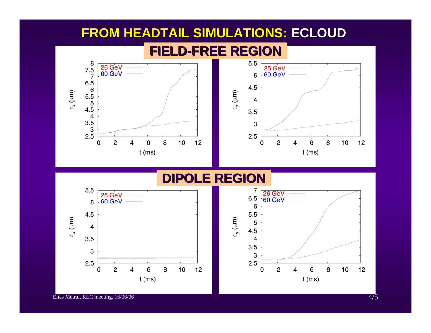#### **FROM HEADTAIL SIMULATIONS: FROM HEADTAIL SIMULATIONS: ECLOUD**



#### **DIPOLE REGION DIPOLE REGION**